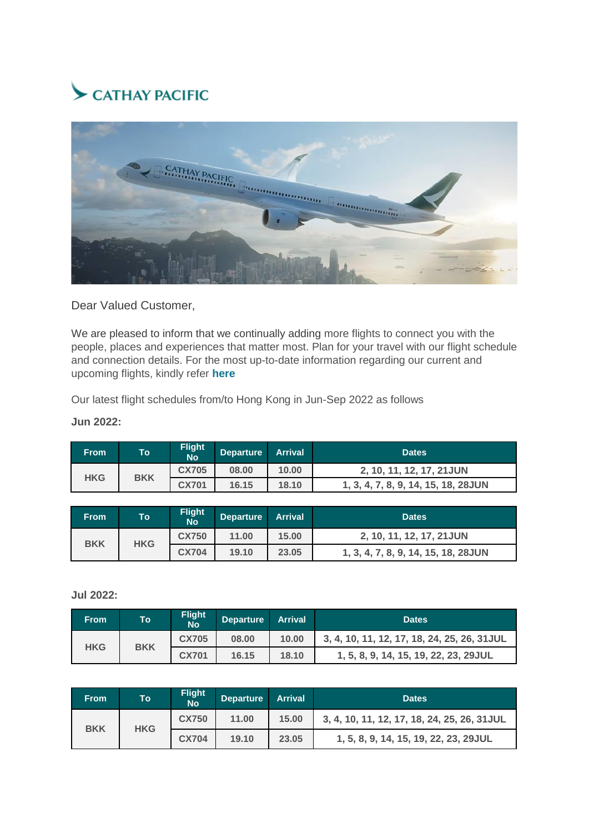## CATHAY PACIFIC



Dear Valued Customer,

We are pleased to inform that we continually adding more flights to connect you with the people, places and experiences that matter most. Plan for your travel with our flight schedule and connection details. For the most up-to-date information regarding our current and upcoming flights, kindly refer **[here](https://www.cathaypacific.com/cx/en_TH/flying-with-us/cathaycare/where-we-fly-now/latest-where-we-fly-now.html)**

Our latest flight schedules from/to Hong Kong in Jun-Sep 2022 as follows

| <b>From</b> | To <sup>1</sup> | <b>Flight</b><br><b>No</b> | <b>Departure</b> | <b>Arrival</b> | Dates                               |
|-------------|-----------------|----------------------------|------------------|----------------|-------------------------------------|
| <b>HKG</b>  | <b>BKK</b>      | <b>CX705</b>               | 08.00            | 10.00          | 2, 10, 11, 12, 17, 21JUN            |
|             |                 | <b>CX701</b>               | 16.15            | 18.10          | 1, 3, 4, 7, 8, 9, 14, 15, 18, 28JUN |

### **Jun 2022:**

| <b>From</b> | To         | <b>Flight</b><br><b>No</b> | <b>Departure</b> | <b>Arrival</b> | <b>Dates</b>                        |
|-------------|------------|----------------------------|------------------|----------------|-------------------------------------|
| <b>BKK</b>  | <b>HKG</b> | <b>CX750</b>               | 11.00            | 15.00          | 2, 10, 11, 12, 17, 21 JUN           |
|             |            | <b>CX704</b>               | 19.10            | 23.05          | 1, 3, 4, 7, 8, 9, 14, 15, 18, 28JUN |

**Jul 2022:**

| <b>From</b> | To         | <b>Flight</b><br><b>No</b> | <b>Departure</b> | <b>Arrival</b> | <b>Dates</b>                                |
|-------------|------------|----------------------------|------------------|----------------|---------------------------------------------|
|             | <b>BKK</b> | <b>CX705</b>               | 08.00            | 10.00          | 3, 4, 10, 11, 12, 17, 18, 24, 25, 26, 31JUL |
| <b>HKG</b>  |            | <b>CX701</b>               | 16.15            | 18.10          | 1, 5, 8, 9, 14, 15, 19, 22, 23, 29JUL       |

| <b>From</b> | To'        | <b>Flight</b><br><b>No</b> | <b>Departure</b> | <b>Arrival</b> | <b>Dates</b>                                 |
|-------------|------------|----------------------------|------------------|----------------|----------------------------------------------|
| <b>BKK</b>  | <b>HKG</b> | <b>CX750</b>               | 11.00            | 15.00          | 3, 4, 10, 11, 12, 17, 18, 24, 25, 26, 31 JUL |
|             |            | <b>CX704</b>               | 19.10            | 23.05          | 1, 5, 8, 9, 14, 15, 19, 22, 23, 29JUL        |